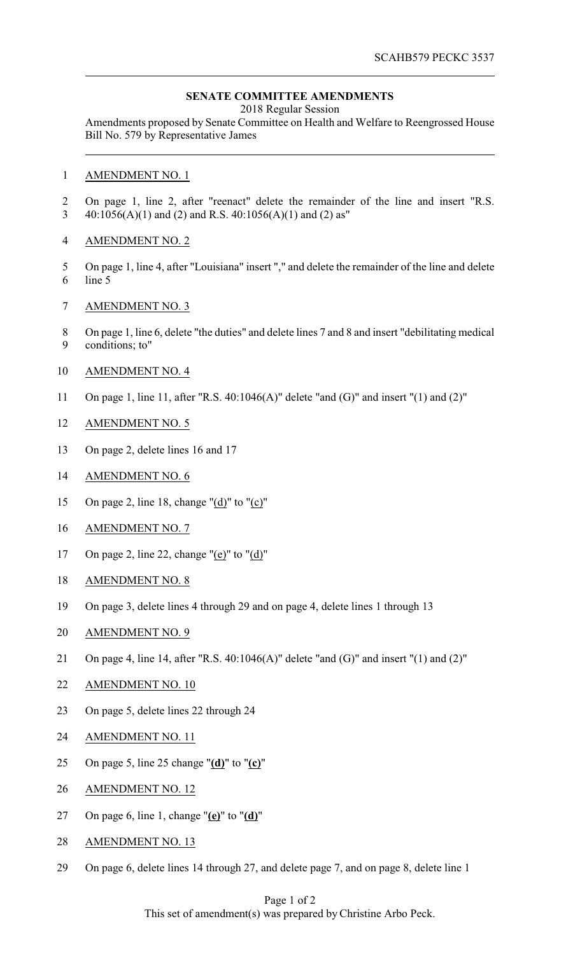## **SENATE COMMITTEE AMENDMENTS**

2018 Regular Session

Amendments proposed by Senate Committee on Health and Welfare to Reengrossed House Bill No. 579 by Representative James

- AMENDMENT NO. 1
- On page 1, line 2, after "reenact" delete the remainder of the line and insert "R.S. 40:1056(A)(1) and (2) and R.S. 40:1056(A)(1) and (2) as"
- AMENDMENT NO. 2
- On page 1, line 4, after "Louisiana" insert "," and delete the remainder of the line and delete line 5
- AMENDMENT NO. 3
- On page 1, line 6, delete "the duties" and delete lines 7 and 8 and insert "debilitating medical conditions; to"
- AMENDMENT NO. 4
- On page 1, line 11, after "R.S. 40:1046(A)" delete "and (G)" and insert "(1) and (2)"
- AMENDMENT NO. 5
- On page 2, delete lines 16 and 17
- AMENDMENT NO. 6
- On page 2, line 18, change "(d)" to "(c)"
- AMENDMENT NO. 7
- 17 On page 2, line 22, change " $(e)$ " to " $(d)$ "
- AMENDMENT NO. 8
- On page 3, delete lines 4 through 29 and on page 4, delete lines 1 through 13
- AMENDMENT NO. 9
- On page 4, line 14, after "R.S. 40:1046(A)" delete "and (G)" and insert "(1) and (2)"
- AMENDMENT NO. 10
- On page 5, delete lines 22 through 24
- AMENDMENT NO. 11
- On page 5, line 25 change "**(d)**" to "**(c)**"
- AMENDMENT NO. 12
- On page 6, line 1, change "**(e)**" to "**(d)**"
- AMENDMENT NO. 13
- On page 6, delete lines 14 through 27, and delete page 7, and on page 8, delete line 1

## Page 1 of 2 This set of amendment(s) was prepared by Christine Arbo Peck.